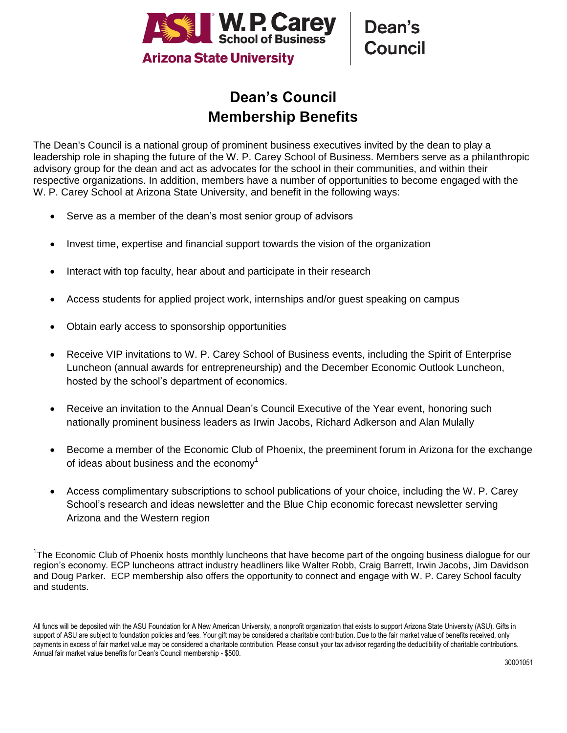

## **Dean's Council Membership Benefits**

The Dean's Council is a national group of prominent business executives invited by the dean to play a leadership role in shaping the future of the W. P. Carey School of Business. Members serve as a philanthropic advisory group for the dean and act as advocates for the school in their communities, and within their respective organizations. In addition, members have a number of opportunities to become engaged with the W. P. Carey School at Arizona State University, and benefit in the following ways:

- Serve as a member of the dean's most senior group of advisors
- Invest time, expertise and financial support towards the vision of the organization
- Interact with top faculty, hear about and participate in their research
- Access students for applied project work, internships and/or guest speaking on campus
- Obtain early access to sponsorship opportunities
- Receive VIP invitations to W. P. Carey School of Business events, including the Spirit of Enterprise Luncheon (annual awards for entrepreneurship) and the December Economic Outlook Luncheon, hosted by the school's department of economics.
- Receive an invitation to the Annual Dean's Council Executive of the Year event, honoring such nationally prominent business leaders as Irwin Jacobs, Richard Adkerson and Alan Mulally
- Become a member of the Economic Club of Phoenix, the preeminent forum in Arizona for the exchange of ideas about business and the economy<sup>1</sup>
- Access complimentary subscriptions to school publications of your choice, including the W. P. Carey School's research and ideas newsletter and the Blue Chip economic forecast newsletter serving Arizona and the Western region

<sup>1</sup>The Economic Club of Phoenix hosts monthly luncheons that have become part of the ongoing business dialogue for our region's economy. ECP luncheons attract industry headliners like Walter Robb, Craig Barrett, Irwin Jacobs, Jim Davidson and Doug Parker. ECP membership also offers the opportunity to connect and engage with W. P. Carey School faculty and students.

All funds will be deposited with the ASU Foundation for A New American University, a nonprofit organization that exists to support Arizona State University (ASU). Gifts in support of ASU are subject to foundation policies and fees. Your gift may be considered a charitable contribution. Due to the fair market value of benefits received, only payments in excess of fair market value may be considered a charitable contribution. Please consult your tax advisor regarding the deductibility of charitable contributions. Annual fair market value benefits for Dean's Council membership - \$500.